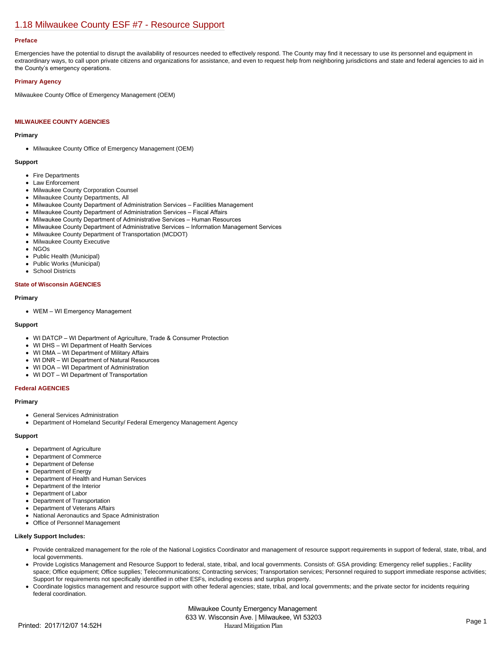# [1.18 Milwaukee County ESF #7 - Resource Support](https://milwaukeecounty.isc-cemp.com/Cemp/Details?id=5805896)

#### **Preface**

Emergencies have the potential to disrupt the availability of resources needed to effectively respond. The County may find it necessary to use its personnel and equipment in extraordinary ways, to call upon private citizens and organizations for assistance, and even to request help from neighboring jurisdictions and state and federal agencies to aid in the County's emergency operations.

### **Primary Agency**

Milwaukee County Office of Emergency Management (OEM)

# **MILWAUKEE COUNTY AGENCIES**

#### **Primary**

• Milwaukee County Office of Emergency Management (OEM)

## **Support**

- Fire Departments
- Law Enforcement
- Milwaukee County Corporation Counsel
- Milwaukee County Departments, All
- Milwaukee County Department of Administration Services Facilities Management
- Milwaukee County Department of Administration Services Fiscal Affairs
- Milwaukee County Department of Administrative Services Human Resources
- Milwaukee County Department of Administrative Services Information Management Services
- Milwaukee County Department of Transportation (MCDOT)
- Milwaukee County Executive
- NGOs
- Public Health (Municipal)  $\bullet$
- Public Works (Municipal)
- School Districts  $\bullet$

## **State of Wisconsin AGENCIES**

## **Primary**

WEM – WI Emergency Management

# **Support**

- WI DATCP WI Department of Agriculture, Trade & Consumer Protection
- WI DHS WI Department of Health Services
- WI DMA WI Department of Military Affairs
- WI DNR WI Department of Natural Resources
- WI DOA WI Department of Administration
- WI DOT WI Department of Transportation

# **Federal AGENCIES**

#### **Primary**

- General Services Administration
- Department of Homeland Security/ Federal Emergency Management Agency

## **Support**

- Department of Agriculture
- Department of Commerce
- Department of Defense
- Department of Energy
- Department of Health and Human Services
- Department of the Interior  $\bullet$
- Department of Labor
- Department of Transportation
- Department of Veterans Affairs
- National Aeronautics and Space Administration  $\bullet$
- Office of Personnel Management

# **Likely Support Includes:**

- Provide centralized management for the role of the National Logistics Coordinator and management of resource support requirements in support of federal, state, tribal, and local governments.
- Provide Logistics Management and Resource Support to federal, state, tribal, and local governments. Consists of: GSA providing: Emergency relief supplies.; Facility space; Office equipment; Office supplies; Telecommunications; Contracting services; Transportation services; Personnel required to support immediate response activities; Support for requirements not specifically identified in other ESFs, including excess and surplus property.
- Coordinate logistics management and resource support with other federal agencies; state, tribal, and local governments; and the private sector for incidents requiring federal coordination.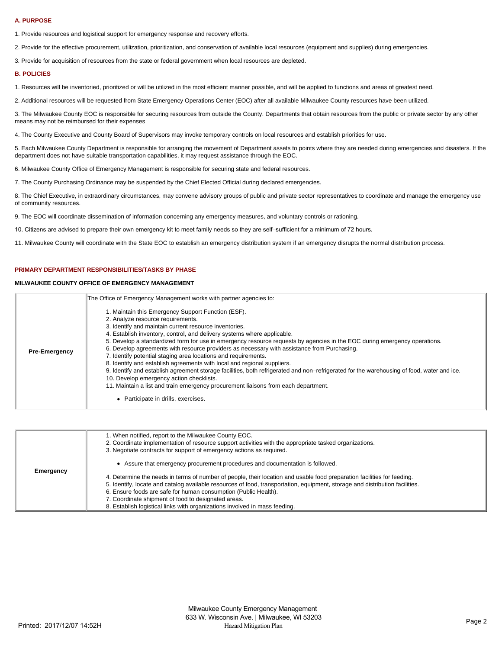#### **A. PURPOSE**

1. Provide resources and logistical support for emergency response and recovery efforts.

2. Provide for the effective procurement, utilization, prioritization, and conservation of available local resources (equipment and supplies) during emergencies.

3. Provide for acquisition of resources from the state or federal government when local resources are depleted.

#### **B. POLICIES**

1. Resources will be inventoried, prioritized or will be utilized in the most efficient manner possible, and will be applied to functions and areas of greatest need.

2. Additional resources will be requested from State Emergency Operations Center (EOC) after all available Milwaukee County resources have been utilized.

3. The Milwaukee County EOC is responsible for securing resources from outside the County. Departments that obtain resources from the public or private sector by any other means may not be reimbursed for their expenses

4. The County Executive and County Board of Supervisors may invoke temporary controls on local resources and establish priorities for use.

5. Each Milwaukee County Department is responsible for arranging the movement of Department assets to points where they are needed during emergencies and disasters. If the department does not have suitable transportation capabilities, it may request assistance through the EOC.

6. Milwaukee County Office of Emergency Management is responsible for securing state and federal resources.

7. The County Purchasing Ordinance may be suspended by the Chief Elected Official during declared emergencies.

8. The Chief Executive, in extraordinary circumstances, may convene advisory groups of public and private sector representatives to coordinate and manage the emergency use of community resources.

9. The EOC will coordinate dissemination of information concerning any emergency measures, and voluntary controls or rationing.

10. Citizens are advised to prepare their own emergency kit to meet family needs so they are self–sufficient for a minimum of 72 hours.

11. Milwaukee County will coordinate with the State EOC to establish an emergency distribution system if an emergency disrupts the normal distribution process.

# **PRIMARY DEPARTMENT RESPONSIBILITIES/TASKS BY PHASE**

# **MILWAUKEE COUNTY OFFICE OF EMERGENCY MANAGEMENT**

|                      | The Office of Emergency Management works with partner agencies to:                                                                                                                                                                                                                                                                                                                                                                                                                                                                                                                                                                                                                                                                                                                                                                                                                                                         |
|----------------------|----------------------------------------------------------------------------------------------------------------------------------------------------------------------------------------------------------------------------------------------------------------------------------------------------------------------------------------------------------------------------------------------------------------------------------------------------------------------------------------------------------------------------------------------------------------------------------------------------------------------------------------------------------------------------------------------------------------------------------------------------------------------------------------------------------------------------------------------------------------------------------------------------------------------------|
| <b>Pre-Emergency</b> | 1. Maintain this Emergency Support Function (ESF).<br>2. Analyze resource requirements.<br>3. Identify and maintain current resource inventories.<br>4. Establish inventory, control, and delivery systems where applicable.<br>5. Develop a standardized form for use in emergency resource requests by agencies in the EOC during emergency operations.<br>6. Develop agreements with resource providers as necessary with assistance from Purchasing.<br>7. Identify potential staging area locations and requirements.<br>8. Identify and establish agreements with local and regional suppliers.<br>9. Identify and establish agreement storage facilities, both refrigerated and non-refrigerated for the warehousing of food, water and ice.<br>10. Develop emergency action checklists.<br>11. Maintain a list and train emergency procurement liaisons from each department.<br>Participate in drills, exercises. |

| Emergency | 1. When notified, report to the Milwaukee County EOC.<br>2. Coordinate implementation of resource support activities with the appropriate tasked organizations.<br>3. Negotiate contracts for support of emergency actions as required. |
|-----------|-----------------------------------------------------------------------------------------------------------------------------------------------------------------------------------------------------------------------------------------|
|           | Assure that emergency procurement procedures and documentation is followed.                                                                                                                                                             |
|           | 4. Determine the needs in terms of number of people, their location and usable food preparation facilities for feeding.                                                                                                                 |
|           | 5. Identify, locate and catalog available resources of food, transportation, equipment, storage and distribution facilities.                                                                                                            |
|           | 6. Ensure foods are safe for human consumption (Public Health).                                                                                                                                                                         |
|           | 7. Coordinate shipment of food to designated areas.                                                                                                                                                                                     |
|           | 8. Establish logistical links with organizations involved in mass feeding.                                                                                                                                                              |
|           |                                                                                                                                                                                                                                         |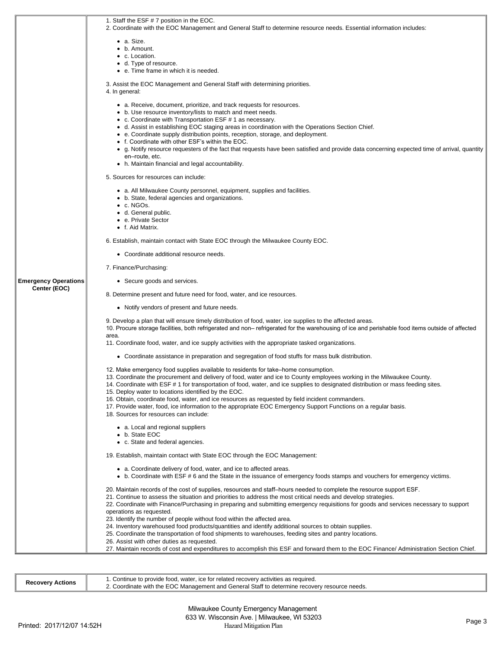|                                             | 1. Staff the ESF # 7 position in the EOC.<br>2. Coordinate with the EOC Management and General Staff to determine resource needs. Essential information includes:                                                                                              |
|---------------------------------------------|----------------------------------------------------------------------------------------------------------------------------------------------------------------------------------------------------------------------------------------------------------------|
|                                             | $\bullet$ a. Size.                                                                                                                                                                                                                                             |
|                                             | $\bullet\;$ b. Amount.                                                                                                                                                                                                                                         |
|                                             | • c. Location.                                                                                                                                                                                                                                                 |
|                                             | • d. Type of resource.<br>• e. Time frame in which it is needed.                                                                                                                                                                                               |
|                                             |                                                                                                                                                                                                                                                                |
|                                             | 3. Assist the EOC Management and General Staff with determining priorities.                                                                                                                                                                                    |
|                                             | 4. In general:                                                                                                                                                                                                                                                 |
|                                             | • a. Receive, document, prioritize, and track requests for resources.                                                                                                                                                                                          |
|                                             | • b. Use resource inventory/lists to match and meet needs.                                                                                                                                                                                                     |
|                                             | • c. Coordinate with Transportation ESF # 1 as necessary.                                                                                                                                                                                                      |
|                                             | • d. Assist in establishing EOC staging areas in coordination with the Operations Section Chief.<br>• e. Coordinate supply distribution points, reception, storage, and deployment.                                                                            |
|                                             | • f. Coordinate with other ESF's within the EOC.                                                                                                                                                                                                               |
|                                             | ● g. Notify resource requesters of the fact that requests have been satisfied and provide data concerning expected time of arrival, quantity                                                                                                                   |
|                                             | en-route, etc.                                                                                                                                                                                                                                                 |
|                                             | • h. Maintain financial and legal accountability.<br>5. Sources for resources can include:                                                                                                                                                                     |
|                                             | • a. All Milwaukee County personnel, equipment, supplies and facilities.                                                                                                                                                                                       |
|                                             | • b. State, federal agencies and organizations.                                                                                                                                                                                                                |
|                                             | $\bullet$ c. NGOs.                                                                                                                                                                                                                                             |
|                                             | • d. General public.                                                                                                                                                                                                                                           |
|                                             | • e. Private Sector<br>• f. Aid Matrix.                                                                                                                                                                                                                        |
|                                             |                                                                                                                                                                                                                                                                |
|                                             | 6. Establish, maintain contact with State EOC through the Milwaukee County EOC.                                                                                                                                                                                |
|                                             | • Coordinate additional resource needs.                                                                                                                                                                                                                        |
|                                             | 7. Finance/Purchasing:                                                                                                                                                                                                                                         |
| <b>Emergency Operations</b><br>Center (EOC) | • Secure goods and services.                                                                                                                                                                                                                                   |
|                                             | 8. Determine present and future need for food, water, and ice resources.                                                                                                                                                                                       |
|                                             | • Notify vendors of present and future needs.                                                                                                                                                                                                                  |
|                                             | 9. Develop a plan that will ensure timely distribution of food, water, ice supplies to the affected areas.<br>10. Procure storage facilities, both refrigerated and non– refrigerated for the warehousing of ice and perishable food items outside of affected |
|                                             | area.<br>11. Coordinate food, water, and ice supply activities with the appropriate tasked organizations.                                                                                                                                                      |
|                                             | • Coordinate assistance in preparation and segregation of food stuffs for mass bulk distribution.                                                                                                                                                              |
|                                             | 12. Make emergency food supplies available to residents for take–home consumption.                                                                                                                                                                             |
|                                             | 13. Coordinate the procurement and delivery of food, water and ice to County employees working in the Milwaukee County.                                                                                                                                        |
|                                             | 14. Coordinate with ESF #1 for transportation of food, water, and ice supplies to designated distribution or mass feeding sites.                                                                                                                               |
|                                             | 15. Deploy water to locations identified by the EOC.<br>16. Obtain, coordinate food, water, and ice resources as requested by field incident commanders.                                                                                                       |
|                                             | 17. Provide water, food, ice information to the appropriate EOC Emergency Support Functions on a regular basis.                                                                                                                                                |
|                                             | 18. Sources for resources can include:                                                                                                                                                                                                                         |
|                                             | • a. Local and regional suppliers                                                                                                                                                                                                                              |
|                                             | • b. State EOC                                                                                                                                                                                                                                                 |
|                                             | • c. State and federal agencies.                                                                                                                                                                                                                               |
|                                             | 19. Establish, maintain contact with State EOC through the EOC Management:                                                                                                                                                                                     |
|                                             | • a. Coordinate delivery of food, water, and ice to affected areas.                                                                                                                                                                                            |
|                                             | • b. Coordinate with ESF #6 and the State in the issuance of emergency foods stamps and vouchers for emergency victims.                                                                                                                                        |
|                                             | 20. Maintain records of the cost of supplies, resources and staff-hours needed to complete the resource support ESF.                                                                                                                                           |
|                                             | 21. Continue to assess the situation and priorities to address the most critical needs and develop strategies.                                                                                                                                                 |
|                                             | 22. Coordinate with Finance/Purchasing in preparing and submitting emergency requisitions for goods and services necessary to support                                                                                                                          |
|                                             | operations as requested.<br>23. Identify the number of people without food within the affected area.                                                                                                                                                           |
|                                             | 24. Inventory warehoused food products/quantities and identify additional sources to obtain supplies.                                                                                                                                                          |
|                                             | 25. Coordinate the transportation of food shipments to warehouses, feeding sites and pantry locations.                                                                                                                                                         |
|                                             | 26. Assist with other duties as requested.<br>27. Maintain records of cost and expenditures to accomplish this ESF and forward them to the EOC Finance/ Administration Section Chief.                                                                          |
|                                             |                                                                                                                                                                                                                                                                |

| <b>Recovery Actions</b> | r, ice for related recovery activities as required.<br>. Continue to provide food. 1<br>water.<br><i>EOC</i> Management and General Staff to determine recovery resource needs.<br>h the<br>2. Coordinate with |
|-------------------------|----------------------------------------------------------------------------------------------------------------------------------------------------------------------------------------------------------------|
|-------------------------|----------------------------------------------------------------------------------------------------------------------------------------------------------------------------------------------------------------|

 $\overline{\mathbb{F}}$ 

 $\overline{\phantom{a}}$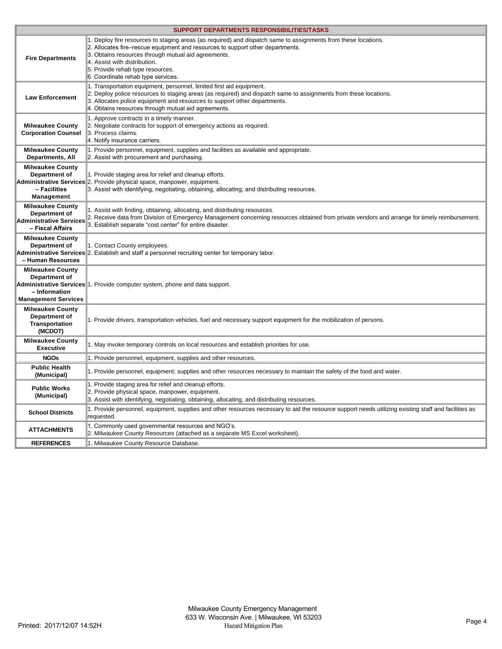|                                                                                         | <b>SUPPORT DEPARTMENTS RESPONSIBILITIES/TASKS</b>                                                                                                                                                                                                                                                                                                                 |
|-----------------------------------------------------------------------------------------|-------------------------------------------------------------------------------------------------------------------------------------------------------------------------------------------------------------------------------------------------------------------------------------------------------------------------------------------------------------------|
| <b>Fire Departments</b>                                                                 | 1. Deploy fire resources to staging areas (as required) and dispatch same to assignments from these locations.<br>2. Allocates fire–rescue equipment and resources to support other departments.<br>3. Obtains resources through mutual aid agreements.<br>4. Assist with distribution.<br>5. Provide rehab type resources.<br>6. Coordinate rehab type services. |
| <b>Law Enforcement</b>                                                                  | 1. Transportation equipment, personnel, limited first aid equipment.<br>2. Deploy police resources to staging areas (as required) and dispatch same to assignments from these locations.<br>3. Allocates police equipment and resources to support other departments.<br>4. Obtains resources through mutual aid agreements.                                      |
| <b>Milwaukee County</b><br><b>Corporation Counsel</b>                                   | 1. Approve contracts in a timely manner.<br>2. Negotiate contracts for support of emergency actions as required.<br>3. Process claims.<br>4. Notify insurance carriers.                                                                                                                                                                                           |
| <b>Milwaukee County</b><br><b>Departments, All</b>                                      | 1. Provide personnel, equipment, supplies and facilities as available and appropriate.<br>2. Assist with procurement and purchasing.                                                                                                                                                                                                                              |
| <b>Milwaukee County</b><br>Department of<br>- Facilities<br>Management                  | 1. Provide staging area for relief and cleanup efforts.<br>Administrative Services 2. Provide physical space, manpower, equipment.<br>3. Assist with identifying, negotiating, obtaining, allocating, and distributing resources.                                                                                                                                 |
| <b>Milwaukee County</b><br>Department of<br>Administrative Services<br>- Fiscal Affairs | 1. Assist with finding, obtaining, allocating, and distributing resources.<br>2. Receive data from Division of Emergency Management concerning resources obtained from private vendors and arrange for timely reimbursement.<br>3. Establish separate "cost center" for entire disaster.                                                                          |
| <b>Milwaukee County</b><br>Department of<br>- Human Resources                           | 1. Contact County employees.<br>Administrative Services 2. Establish and staff a personnel recruiting center for temporary labor.                                                                                                                                                                                                                                 |
| <b>Milwaukee County</b><br>Department of<br>- Information<br><b>Management Services</b> | Administrative Services <sup>11</sup> . Provide computer system, phone and data support.                                                                                                                                                                                                                                                                          |
| <b>Milwaukee County</b><br>Department of<br><b>Transportation</b><br>(MCDOT)            | 1. Provide drivers, transportation vehicles, fuel and necessary support equipment for the mobilization of persons.                                                                                                                                                                                                                                                |
| <b>Milwaukee County</b><br><b>Executive</b>                                             | 1. May invoke temporary controls on local resources and establish priorities for use.                                                                                                                                                                                                                                                                             |
| <b>NGOs</b>                                                                             | 1. Provide personnel, equipment, supplies and other resources.                                                                                                                                                                                                                                                                                                    |
| <b>Public Health</b><br>(Municipal)                                                     | 1. Provide personnel, equipment; supplies and other resources necessary to maintain the safety of the food and water.                                                                                                                                                                                                                                             |
| <b>Public Works</b><br>(Municipal)                                                      | 1. Provide staging area for relief and cleanup efforts.<br>2. Provide physical space, manpower, equipment.<br>3. Assist with identifying, negotiating, obtaining, allocating, and distributing resources.                                                                                                                                                         |
| <b>School Districts</b>                                                                 | 1. Provide personnel, equipment, supplies and other resources necessary to aid the resource support needs utilizing existing staff and facilities as<br>requested.                                                                                                                                                                                                |
| <b>ATTACHMENTS</b>                                                                      | 1. Commonly used governmental resources and NGO's.<br>2. Milwaukee County Resources (attached as a separate MS Excel worksheet).                                                                                                                                                                                                                                  |
| <b>REFERENCES</b>                                                                       | 1. Milwaukee County Resource Database.                                                                                                                                                                                                                                                                                                                            |